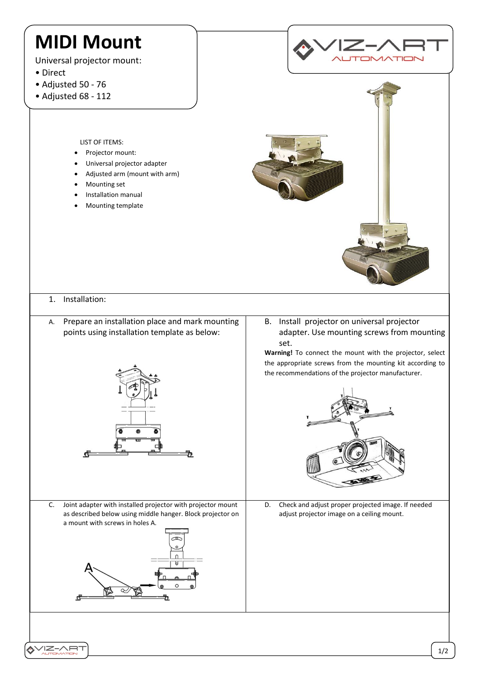